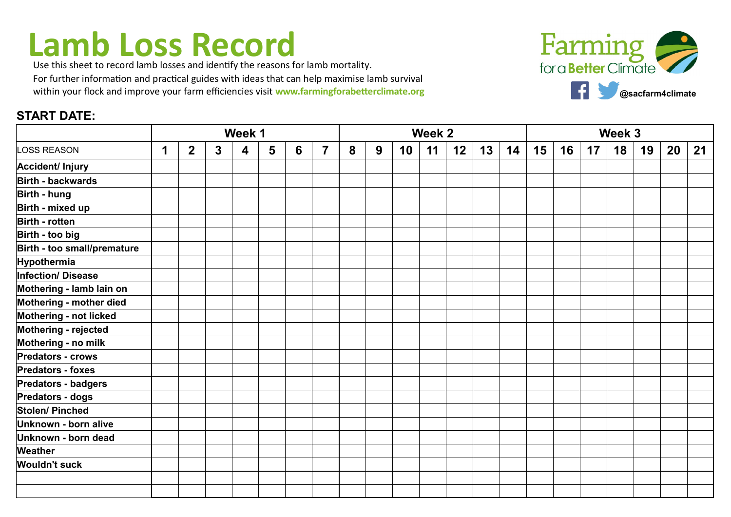## **Lamb Loss Record**

Use this sheet to record lamb losses and identify the reasons for lamb mortality. For further information and practical guides with ideas that can help maximise lamb survival within your flock and improve your farm efficiencies visit **www.farmingforabetterclimate.org** 

## **START DATE:**